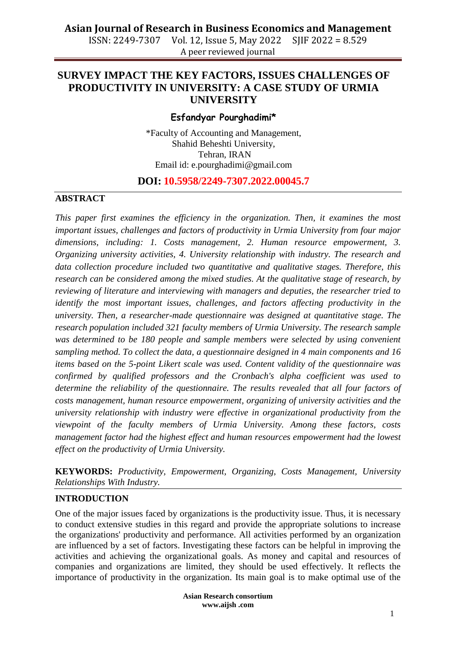# **Asian Journal of Research in Business Economics and Management**

ISSN: 2249-7307 Vol. 12, Issue 5, May 2022 SJIF 2022 = 8.529 A peer reviewed journal

# **SURVEY IMPACT THE KEY FACTORS, ISSUES CHALLENGES OF PRODUCTIVITY IN UNIVERSITY: A CASE STUDY OF URMIA UNIVERSITY**

## **Esfandyar Pourghadimi\***

\*Faculty of Accounting and Management, Shahid Beheshti University, Tehran, IRAN Email id: [e.pourghadimi@gmail.com](mailto:e.pourghadimi@gmail.com)

## **DOI: 10.5958/2249-7307.2022.00045.7**

#### **ABSTRACT**

*This paper first examines the efficiency in the organization. Then, it examines the most important issues, challenges and factors of productivity in Urmia University from four major dimensions, including: 1. Costs management, 2. Human resource empowerment, 3. Organizing university activities, 4. University relationship with industry. The research and data collection procedure included two quantitative and qualitative stages. Therefore, this research can be considered among the mixed studies. At the qualitative stage of research, by reviewing of literature and interviewing with managers and deputies, the researcher tried to identify the most important issues, challenges, and factors affecting productivity in the university. Then, a researcher-made questionnaire was designed at quantitative stage. The research population included 321 faculty members of Urmia University. The research sample was determined to be 180 people and sample members were selected by using convenient sampling method. To collect the data, a questionnaire designed in 4 main components and 16 items based on the 5-point Likert scale was used. Content validity of the questionnaire was confirmed by qualified professors and the Cronbach's alpha coefficient was used to determine the reliability of the questionnaire. The results revealed that all four factors of costs management, human resource empowerment, organizing of university activities and the university relationship with industry were effective in organizational productivity from the viewpoint of the faculty members of Urmia University. Among these factors, costs management factor had the highest effect and human resources empowerment had the lowest effect on the productivity of Urmia University.*

**KEYWORDS:** *Productivity, Empowerment, Organizing, Costs Management, University Relationships With Industry.*

## **INTRODUCTION**

One of the major issues faced by organizations is the productivity issue. Thus, it is necessary to conduct extensive studies in this regard and provide the appropriate solutions to increase the organizations' productivity and performance. All activities performed by an organization are influenced by a set of factors. Investigating these factors can be helpful in improving the activities and achieving the organizational goals. As money and capital and resources of companies and organizations are limited, they should be used effectively. It reflects the importance of productivity in the organization. Its main goal is to make optimal use of the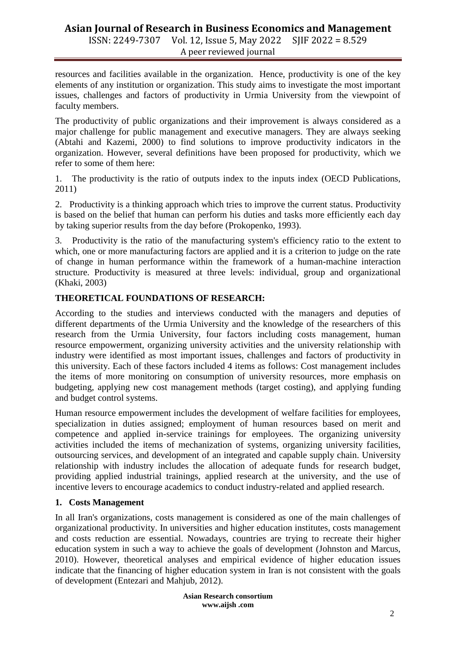resources and facilities available in the organization. Hence, productivity is one of the key elements of any institution or organization. This study aims to investigate the most important issues, challenges and factors of productivity in Urmia University from the viewpoint of faculty members.

The productivity of public organizations and their improvement is always considered as a major challenge for public management and executive managers. They are always seeking (Abtahi and Kazemi, 2000) to find solutions to improve productivity indicators in the organization. However, several definitions have been proposed for productivity, which we refer to some of them here:

1. The productivity is the ratio of outputs index to the inputs index (OECD Publications, 2011)

2. Productivity is a thinking approach which tries to improve the current status. Productivity is based on the belief that human can perform his duties and tasks more efficiently each day by taking superior results from the day before (Prokopenko, 1993).

3. Productivity is the ratio of the manufacturing system's efficiency ratio to the extent to which, one or more manufacturing factors are applied and it is a criterion to judge on the rate of change in human performance within the framework of a human-machine interaction structure. Productivity is measured at three levels: individual, group and organizational (Khaki, 2003)

## **THEORETICAL FOUNDATIONS OF RESEARCH:**

According to the studies and interviews conducted with the managers and deputies of different departments of the Urmia University and the knowledge of the researchers of this research from the Urmia University, four factors including costs management, human resource empowerment, organizing university activities and the university relationship with industry were identified as most important issues, challenges and factors of productivity in this university. Each of these factors included 4 items as follows: Cost management includes the items of more monitoring on consumption of university resources, more emphasis on budgeting, applying new cost management methods (target costing), and applying funding and budget control systems.

Human resource empowerment includes the development of welfare facilities for employees, specialization in duties assigned; employment of human resources based on merit and competence and applied in-service trainings for employees. The organizing university activities included the items of mechanization of systems, organizing university facilities, outsourcing services, and development of an integrated and capable supply chain. University relationship with industry includes the allocation of adequate funds for research budget, providing applied industrial trainings, applied research at the university, and the use of incentive levers to encourage academics to conduct industry-related and applied research.

## **1. Costs Management**

In all Iran's organizations, costs management is considered as one of the main challenges of organizational productivity. In universities and higher education institutes, costs management and costs reduction are essential. Nowadays, countries are trying to recreate their higher education system in such a way to achieve the goals of development (Johnston and Marcus, 2010). However, theoretical analyses and empirical evidence of higher education issues indicate that the financing of higher education system in Iran is not consistent with the goals of development (Entezari and Mahjub, 2012).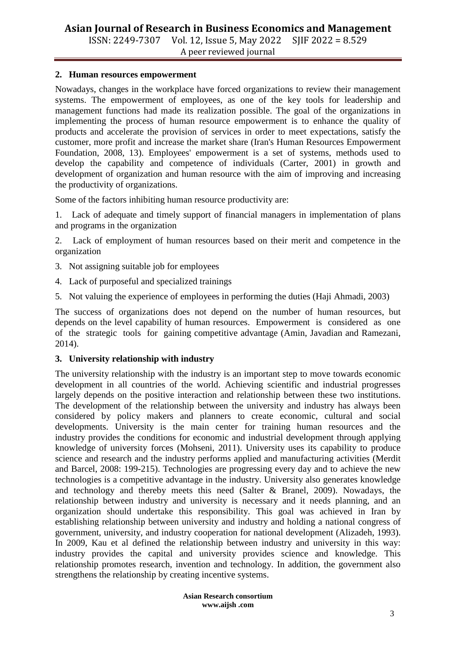ISSN: 2249-7307 Vol. 12, Issue 5, May 2022 SJIF 2022 = 8.529 A peer reviewed journal

#### **2. Human resources empowerment**

Nowadays, changes in the workplace have forced organizations to review their management systems. The empowerment of employees, as one of the key tools for leadership and management functions had made its realization possible. The goal of the organizations in implementing the process of human resource empowerment is to enhance the quality of products and accelerate the provision of services in order to meet expectations, satisfy the customer, more profit and increase the market share (Iran's Human Resources Empowerment Foundation, 2008, 13). Employees' empowerment is a set of systems, methods used to develop the capability and competence of individuals (Carter, 2001) in growth and development of organization and human resource with the aim of improving and increasing the productivity of organizations.

Some of the factors inhibiting human resource productivity are:

1. Lack of adequate and timely support of financial managers in implementation of plans and programs in the organization

2. Lack of employment of human resources based on their merit and competence in the organization

- 3. Not assigning suitable job for employees
- 4. Lack of purposeful and specialized trainings
- 5. Not valuing the experience of employees in performing the duties (Haji Ahmadi, 2003)

The success of organizations does not depend on the number of human resources, but depends on the level capability of human resources. Empowerment is considered as one of the strategic tools for gaining competitive advantage (Amin, Javadian and Ramezani, 2014).

## **3. University relationship with industry**

The university relationship with the industry is an important step to move towards economic development in all countries of the world. Achieving scientific and industrial progresses largely depends on the positive interaction and relationship between these two institutions. The development of the relationship between the university and industry has always been considered by policy makers and planners to create economic, cultural and social developments. University is the main center for training human resources and the industry provides the conditions for economic and industrial development through applying knowledge of university forces (Mohseni, 2011). University uses its capability to produce science and research and the industry performs applied and manufacturing activities (Merdit and Barcel, 2008: 199-215). Technologies are progressing every day and to achieve the new technologies is a competitive advantage in the industry. University also generates knowledge and technology and thereby meets this need (Salter & Branel, 2009). Nowadays, the relationship between industry and university is necessary and it needs planning, and an organization should undertake this responsibility. This goal was achieved in Iran by establishing relationship between university and industry and holding a national congress of government, university, and industry cooperation for national development (Alizadeh, 1993). In 2009, Kau et al defined the relationship between industry and university in this way: industry provides the capital and university provides science and knowledge. This relationship promotes research, invention and technology. In addition, the government also strengthens the relationship by creating incentive systems.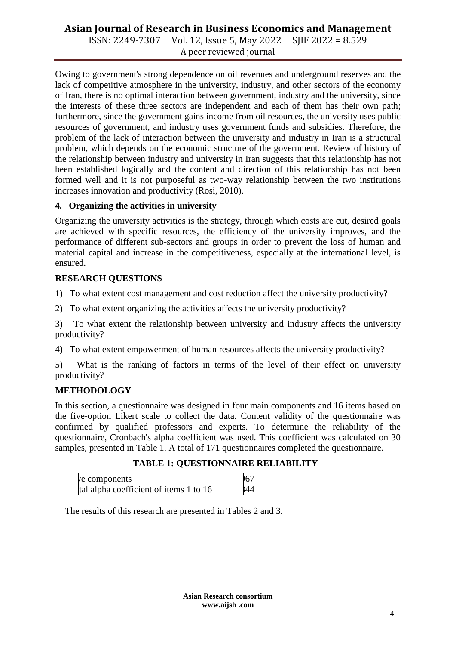# **Asian Journal of Research in Business Economics and Management**

ISSN: 2249-7307 Vol. 12, Issue 5, May 2022 SJIF 2022 = 8.529 A peer reviewed journal

Owing to government's strong dependence on oil revenues and underground reserves and the lack of competitive atmosphere in the university, industry, and other sectors of the economy of Iran, there is no optimal interaction between government, industry and the university, since the interests of these three sectors are independent and each of them has their own path; furthermore, since the government gains income from oil resources, the university uses public resources of government, and industry uses government funds and subsidies. Therefore, the problem of the lack of interaction between the university and industry in Iran is a structural problem, which depends on the economic structure of the government. Review of history of the relationship between industry and university in Iran suggests that this relationship has not been established logically and the content and direction of this relationship has not been formed well and it is not purposeful as two-way relationship between the two institutions increases innovation and productivity (Rosi, 2010).

## **4. Organizing the activities in university**

Organizing the university activities is the strategy, through which costs are cut, desired goals are achieved with specific resources, the efficiency of the university improves, and the performance of different sub-sectors and groups in order to prevent the loss of human and material capital and increase in the competitiveness, especially at the international level, is ensured.

## **RESEARCH QUESTIONS**

1) To what extent cost management and cost reduction affect the university productivity?

2) To what extent organizing the activities affects the university productivity?

3) To what extent the relationship between university and industry affects the university productivity?

4) To what extent empowerment of human resources affects the university productivity?

5) What is the ranking of factors in terms of the level of their effect on university productivity?

## **METHODOLOGY**

In this section, a questionnaire was designed in four main components and 16 items based on the five-option Likert scale to collect the data. Content validity of the questionnaire was confirmed by qualified professors and experts. To determine the reliability of the questionnaire, Cronbach's alpha coefficient was used. This coefficient was calculated on 30 samples, presented in Table 1. A total of 171 questionnaires completed the questionnaire.

|  | <b>TABLE 1: QUESTIONNAIRE RELIABILITY</b> |
|--|-------------------------------------------|
|--|-------------------------------------------|

| e components                           | ι   |
|----------------------------------------|-----|
| tal alpha coefficient of items 1 to 16 | ,44 |

The results of this research are presented in Tables 2 and 3.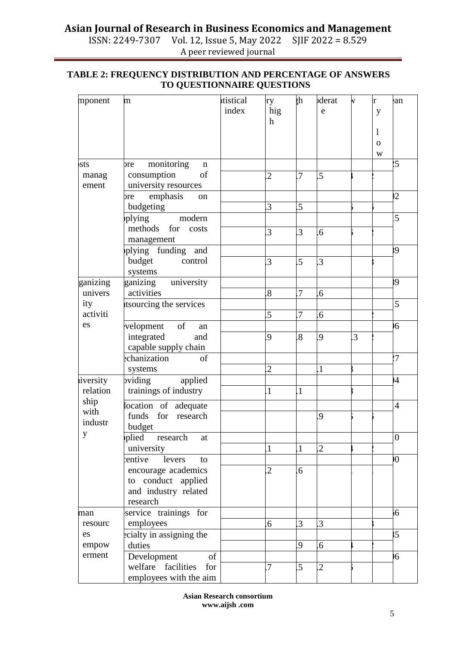# **Asian Journal of Research in Business Economics and Management**<br>ISSN: 2249-7307 Vol. 12, Issue 5, May 2022 SJIF 2022 = 8.529

Vol. 12, Issue 5, May 2022 A peer reviewed journal

| mponent  | $\mathbf{m}$                     | tistical | ry               | ξh             | derat            | V | r            | an              |
|----------|----------------------------------|----------|------------------|----------------|------------------|---|--------------|-----------------|
|          |                                  | index    | hig              |                | e                |   | y            |                 |
|          |                                  |          | h                |                |                  |   |              |                 |
|          |                                  |          |                  |                |                  |   | 1            |                 |
|          |                                  |          |                  |                |                  |   | $\mathbf{O}$ |                 |
|          |                                  |          |                  |                |                  |   | W            |                 |
| sts      | monitoring<br>bre<br>$\mathbf n$ |          |                  |                |                  |   |              | 25              |
| manag    | consumption<br>of                |          | $\overline{2}$   | .7             | .5               |   |              |                 |
| ement    | university resources             |          |                  |                |                  |   |              |                 |
|          | emphasis<br>ore<br>on            |          |                  |                |                  |   |              | $\overline{2}$  |
|          | budgeting                        |          | 3                | .5             |                  |   |              |                 |
|          | plying<br>modern                 |          |                  |                |                  |   |              | 5               |
|          | methods for<br>costs             |          | 3                | 3              | .6               |   |              |                 |
|          | management                       |          |                  |                |                  |   |              |                 |
|          | plying funding<br>and            |          |                  |                |                  |   |              | 39              |
|          | budget<br>control                |          | 3                | 5              | 3.               |   |              |                 |
|          | systems                          |          |                  |                |                  |   |              |                 |
| ganizing | ganizing university              |          |                  |                |                  |   |              | 39              |
| univers  | activities                       |          | $\overline{8}$   | 7              | .6               |   |              |                 |
| ity      | itsourcing the services          |          |                  |                |                  |   |              | 5               |
| activiti |                                  |          | $\overline{5}$   | $\overline{7}$ | 6.6              |   |              |                 |
| es       | velopment<br>of<br>an            |          |                  |                |                  |   |              | 16              |
|          | integrated<br>and                |          | 9                | 8.             | 9                | 3 |              |                 |
|          | capable supply chain             |          |                  |                |                  |   |              |                 |
|          | echanization<br>of               |          |                  |                |                  |   | 27           |                 |
|          | systems                          |          | $\overline{2}$   |                | $\mathbf{1}$     |   |              |                 |
| iversity | pviding<br>applied               |          |                  |                |                  |   |              | 14              |
| relation | trainings of industry            |          | $\overline{1}$   | $\overline{1}$ |                  |   |              |                 |
| ship     | location of adequate             |          |                  |                |                  |   |              | $\overline{4}$  |
| with     | funds for research               |          |                  |                | 9                |   |              |                 |
| industr  | budget                           |          |                  |                |                  |   |              |                 |
| y        | plied<br>research<br>at          |          |                  |                |                  |   |              | $\overline{0}$  |
|          | university                       |          | $\mathbf{1}$     | $\mathbf{1}$   | $\overline{2}$   |   |              |                 |
|          | entive<br>levers<br>to           |          |                  |                |                  |   |              | Ю               |
|          | encourage academics              |          | $\overline{2}$   | 6 <sup>6</sup> |                  |   |              |                 |
|          | to conduct applied               |          |                  |                |                  |   |              |                 |
|          | and industry related             |          |                  |                |                  |   |              |                 |
|          | research                         |          |                  |                |                  |   |              |                 |
| man      | service trainings for            |          |                  |                |                  |   |              | 56              |
| resourc  | employees                        |          | $6 \overline{6}$ | 3              | 3                |   |              |                 |
| es       | ecialty in assigning the         |          |                  |                |                  |   |              | 35 <sub>5</sub> |
| empow    | duties                           |          |                  | 9              | $6 \overline{6}$ |   |              |                 |
| erment   | of<br>Development                |          |                  |                |                  |   |              | 16              |
|          | welfare facilities<br>for        |          | $\overline{7}$   | $\overline{5}$ | $\overline{2}$   |   |              |                 |
|          | employees with the aim           |          |                  |                |                  |   |              |                 |

## **TABLE 2: FREQUENCY DISTRIBUTION AND PERCENTAGE OF ANSWERS TO QUESTIONNAIRE QUESTIONS**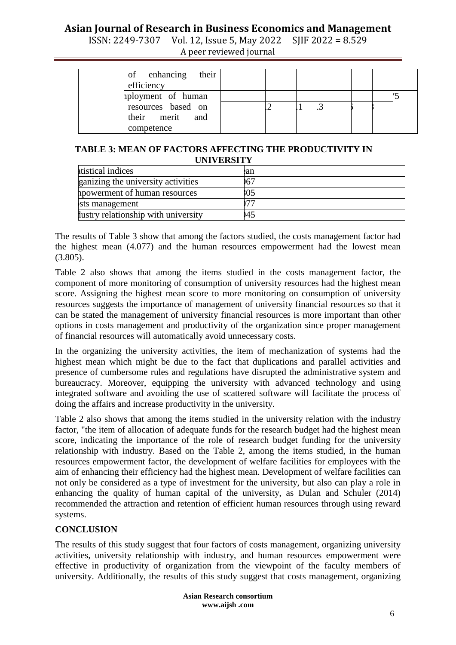# **Asian Journal of Research in Business Economics and Management**

ISSN: 2249-7307 Vol. 12, Issue 5, May 2022 SJIF 2022 = 8.529 A peer reviewed journal

#### **TABLE 3: MEAN OF FACTORS AFFECTING THE PRODUCTIVITY IN UNIVERSITY**

| ttistical indices                   | ean |  |  |  |
|-------------------------------------|-----|--|--|--|
| ganizing the university activities  | 167 |  |  |  |
| howerment of human resources        | :05 |  |  |  |
| sts management                      |     |  |  |  |
| lustry relationship with university | 145 |  |  |  |

The results of Table 3 show that among the factors studied, the costs management factor had the highest mean (4.077) and the human resources empowerment had the lowest mean (3.805).

Table 2 also shows that among the items studied in the costs management factor, the component of more monitoring of consumption of university resources had the highest mean score. Assigning the highest mean score to more monitoring on consumption of university resources suggests the importance of management of university financial resources so that it can be stated the management of university financial resources is more important than other options in costs management and productivity of the organization since proper management of financial resources will automatically avoid unnecessary costs.

In the organizing the university activities, the item of mechanization of systems had the highest mean which might be due to the fact that duplications and parallel activities and presence of cumbersome rules and regulations have disrupted the administrative system and bureaucracy. Moreover, equipping the university with advanced technology and using integrated software and avoiding the use of scattered software will facilitate the process of doing the affairs and increase productivity in the university.

Table 2 also shows that among the items studied in the university relation with the industry factor, "the item of allocation of adequate funds for the research budget had the highest mean score, indicating the importance of the role of research budget funding for the university relationship with industry. Based on the Table 2, among the items studied, in the human resources empowerment factor, the development of welfare facilities for employees with the aim of enhancing their efficiency had the highest mean. Development of welfare facilities can not only be considered as a type of investment for the university, but also can play a role in enhancing the quality of human capital of the university, as Dulan and Schuler (2014) recommended the attraction and retention of efficient human resources through using reward systems.

## **CONCLUSION**

The results of this study suggest that four factors of costs management, organizing university activities, university relationship with industry, and human resources empowerment were effective in productivity of organization from the viewpoint of the faculty members of university. Additionally, the results of this study suggest that costs management, organizing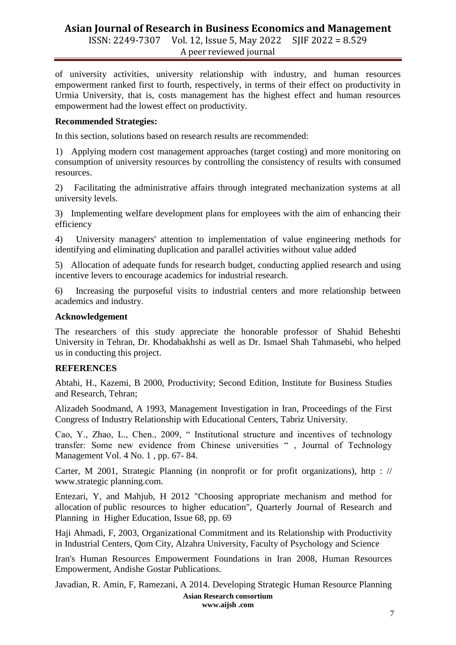## **Asian Journal of Research in Business Economics and Management** ISSN: 2249-7307 Vol. 12, Issue 5, May 2022 SJIF 2022 = 8.529

A peer reviewed journal

of university activities, university relationship with industry, and human resources empowerment ranked first to fourth, respectively, in terms of their effect on productivity in Urmia University, that is, costs management has the highest effect and human resources empowerment had the lowest effect on productivity.

## **Recommended Strategies:**

In this section, solutions based on research results are recommended:

1) Applying modern cost management approaches (target costing) and more monitoring on consumption of university resources by controlling the consistency of results with consumed resources.

2) Facilitating the administrative affairs through integrated mechanization systems at all university levels.

3) Implementing welfare development plans for employees with the aim of enhancing their efficiency

4) University managers' attention to implementation of value engineering methods for identifying and eliminating duplication and parallel activities without value added

5) Allocation of adequate funds for research budget, conducting applied research and using incentive levers to encourage academics for industrial research.

6) Increasing the purposeful visits to industrial centers and more relationship between academics and industry.

#### **Acknowledgement**

The researchers of this study appreciate the honorable professor of Shahid Beheshti University in Tehran, Dr. Khodabakhshi as well as Dr. Ismael Shah Tahmasebi, who helped us in conducting this project.

## **REFERENCES**

Abtahi, H., Kazemi, B 2000, Productivity; Second Edition, Institute for Business Studies and Research, Tehran;

Alizadeh Soodmand, A 1993, Management Investigation in Iran, Proceedings of the First Congress of Industry Relationship with Educational Centers, Tabriz University.

Cao, Y., Zhao, L., Chen., 2009, " Institutional structure and incentives of technology transfer: Some new evidence from Chinese universities " , Journal of Technology Management Vol. 4 No. 1 , pp. 67- 84.

Carter, M 2001, Strategic Planning (in nonprofit or for profit organizations), http : // www.strategic planning.com.

Entezari, Y, and Mahjub, H 2012 "Choosing appropriate mechanism and method for allocation of public resources to higher education", Quarterly Journal of Research and Planning in Higher Education, Issue 68, pp. 69

Haji Ahmadi, F, 2003, Organizational Commitment and its Relationship with Productivity in Industrial Centers, Qom City, Alzahra University, Faculty of Psychology and Science

Iran's Human Resources Empowerment Foundations in Iran 2008, Human Resources Empowerment, Andishe Gostar Publications.

Javadian, R. Amin, F, Ramezani, A 2014. Developing Strategic Human Resource Planning